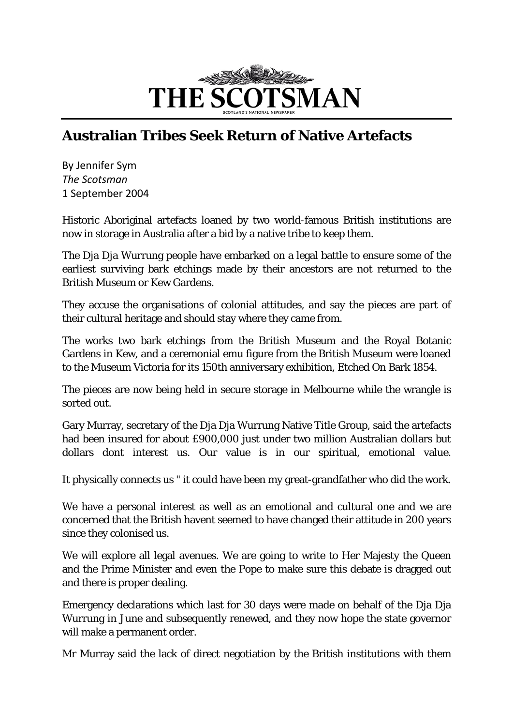

## **Australian Tribes Seek Return of Native Artefacts**

By Jennifer Sym *The Scotsman* 1 September 2004

Historic Aboriginal artefacts loaned by two world-famous British institutions are now in storage in Australia after a bid by a native tribe to keep them.

The Dja Dja Wurrung people have embarked on a legal battle to ensure some of the earliest surviving bark etchings made by their ancestors are not returned to the British Museum or Kew Gardens.

They accuse the organisations of colonial attitudes, and say the pieces are part of their cultural heritage and should stay where they came from.

The works two bark etchings from the British Museum and the Royal Botanic Gardens in Kew, and a ceremonial emu figure from the British Museum were loaned to the Museum Victoria for its 150th anniversary exhibition, Etched On Bark 1854.

The pieces are now being held in secure storage in Melbourne while the wrangle is sorted out.

Gary Murray, secretary of the Dja Dja Wurrung Native Title Group, said the artefacts had been insured for about £900,000 just under two million Australian dollars but dollars dont interest us. Our value is in our spiritual, emotional value.

It physically connects us " it could have been my great-grandfather who did the work.

We have a personal interest as well as an emotional and cultural one and we are concerned that the British havent seemed to have changed their attitude in 200 years since they colonised us.

We will explore all legal avenues. We are going to write to Her Majesty the Queen and the Prime Minister and even the Pope to make sure this debate is dragged out and there is proper dealing.

Emergency declarations which last for 30 days were made on behalf of the Dja Dja Wurrung in June and subsequently renewed, and they now hope the state governor will make a permanent order.

Mr Murray said the lack of direct negotiation by the British institutions with them